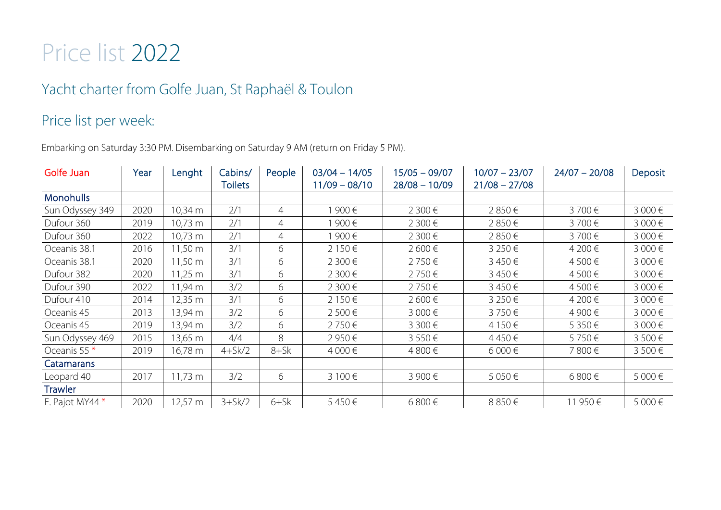## Price list 2022

## Yacht charter from Golfe Juan, St Raphaël & Toulon

### Price list per week:

Embarking on Saturday 3:30 PM. Disembarking on Saturday 9 AM (return on Friday 5 PM).

| Golfe Juan              | Year | Lenght            | Cabins/<br><b>Toilets</b> | People         | $03/04 - 14/05$<br>$11/09 - 08/10$ | $15/05 - 09/07$<br>$28/08 - 10/09$ | $10/07 - 23/07$<br>$21/08 - 27/08$ | $24/07 - 20/08$ | Deposit |
|-------------------------|------|-------------------|---------------------------|----------------|------------------------------------|------------------------------------|------------------------------------|-----------------|---------|
| <b>Monohulls</b>        |      |                   |                           |                |                                    |                                    |                                    |                 |         |
| Sun Odyssey 349         | 2020 | 10,34 m           | 2/1                       | $\overline{4}$ | 900€                               | 2 300€                             | 2850€                              | 3700€           | 3 000€  |
| Dufour 360              | 2019 | 10,73 m           | 2/1                       | $\overline{4}$ | 900€                               | 2 300€                             | 2850€                              | 3700€           | 3 000€  |
| Dufour 360              | 2022 | 10,73 m           | 2/1                       | $\overline{4}$ | 900€                               | 2 300€                             | 2850€                              | 3700€           | 3 000€  |
| Oceanis 38.1            | 2016 | 11,50 m           | 3/1                       | 6              | 2 150 €                            | 2 600€                             | 3 250 €                            | 4 200€          | 3 000€  |
| Oceanis 38.1            | 2020 | 11,50 m           | 3/1                       | 6              | 2 300 €                            | 2750€                              | 3450€                              | 4 500 €         | 3 000€  |
| Dufour 382              | 2020 | 11,25 m           | 3/1                       | 6              | 2 300€                             | 2750€                              | 3450€                              | 4 500€          | 3 000€  |
| Dufour 390              | 2022 | 11,94 m           | 3/2                       | 6              | 2 300€                             | 2750€                              | 3450€                              | 4 500€          | 3 000€  |
| Dufour 410              | 2014 | 12,35 m           | 3/1                       | 6              | 2 150€                             | 2 600€                             | 3 250 €                            | 4 200€          | 3 000€  |
| Oceanis 45              | 2013 | 13,94 m           | 3/2                       | 6              | 2 500 €                            | 3 000€                             | 3750€                              | 4 900 €         | 3 000€  |
| Oceanis 45              | 2019 | 13,94 m           | 3/2                       | 6              | 2750€                              | 3 300€                             | 4 150 €                            | 5 350€          | 3 000€  |
| Sun Odyssey 469         | 2015 | 13,65 m           | 4/4                       | 8              | 2 950€                             | 3 550€                             | 4450€                              | 5750€           | 3 500€  |
| Oceanis 55 <sup>*</sup> | 2019 | 16,78 m           | $4+Sk/2$                  | $8 + 5k$       | 4 000€                             | 4800€                              | $6000 \in$                         | 7800€           | 3 500€  |
| Catamarans              |      |                   |                           |                |                                    |                                    |                                    |                 |         |
| Leopard 40              | 2017 | $11,73 \text{ m}$ | 3/2                       | 6              | 3 100 €                            | 3 900€                             | 5 050€                             | 6 800€          | 5 000€  |
| <b>Trawler</b>          |      |                   |                           |                |                                    |                                    |                                    |                 |         |
| F. Pajot MY44 *         | 2020 | $12,57 \text{ m}$ | $3+5k/2$                  | $6+5k$         | 5450€                              | 6 800€                             | 8 850€                             | 11 950 €        | 5 000€  |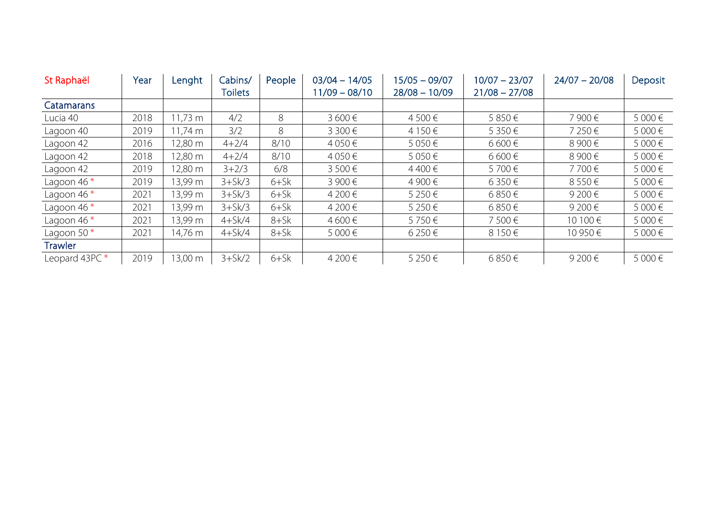| St Raphaël    | Year | Lenght   | Cabins/        | People | $03/04 - 14/05$ | $15/05 - 09/07$ | $10/07 - 23/07$ | $24/07 - 20/08$ | Deposit |
|---------------|------|----------|----------------|--------|-----------------|-----------------|-----------------|-----------------|---------|
|               |      |          | <b>Toilets</b> |        | $11/09 - 08/10$ | $28/08 - 10/09$ | $21/08 - 27/08$ |                 |         |
| Catamarans    |      |          |                |        |                 |                 |                 |                 |         |
| Lucia 40      | 2018 | 11,73 m  | 4/2            | 8      | $3600 \in$      | 4500€           | 5850€           | 7 900€          | 5 000€  |
| Lagoon 40     | 2019 | l 1,74 m | 3/2            | 8      | 3 300 €         | 4 150 €         | 5 3 5 0 €       | 7 250€          | 5 000 € |
| Lagoon 42     | 2016 | 12,80 m  | $4 + 2/4$      | 8/10   | 4 050 €         | 5 050€          | 6 600€          | 8 900€          | 5 000€  |
| Lagoon 42     | 2018 | 12,80 m  | $4 + 2/4$      | 8/10   | 4 050 €         | 5 0 5 0 €       | 6 600€          | 8 900€          | 5 000 € |
| Lagoon 42     | 2019 | 12,80 m  | $3 + 2/3$      | 6/8    | $3500 \in$      | 4400€           | 5700€           | 7700€           | 5 000€  |
| Lagoon 46 $*$ | 2019 | 13,99 m  | $3+5k/3$       | $6+5k$ | 3 900 €         | 4 900 €         | 6 3 5 0 €       | 8 550€          | 5 000 € |
| Lagoon 46 $*$ | 2021 | 13,99 m  | $3+5k/3$       | $6+5k$ | 4 200 €         | 5 250€          | 6850€           | 9 200€          | 5 000€  |
| Lagoon 46 $*$ | 2021 | 13,99 m  | $3+5k/3$       | $6+5k$ | 4 200 €         | 5 250€          | 6850€           | 9 200 €         | 5 000 € |
| Lagoon 46 $*$ | 2021 | 13,99 m  | $4+Sk/4$       | $8+5k$ | 4 600 €         | 5750€           | 7500€           | 10 100 €        | 5 000 € |
| Lagoon 50 $*$ | 2021 | 14,76 m  | $4+Sk/4$       | $8+5k$ | 5 000€          | 6 250 €         | 8 150€          | 10 950 €        | 5 000 € |
| Trawler       |      |          |                |        |                 |                 |                 |                 |         |
| Leopard 43PC* | 2019 | 13,00 m  | $3+5k/2$       | $6+5k$ | 4 200 €         | 5 250€          | 6850€           | 9 200€          | 5 000€  |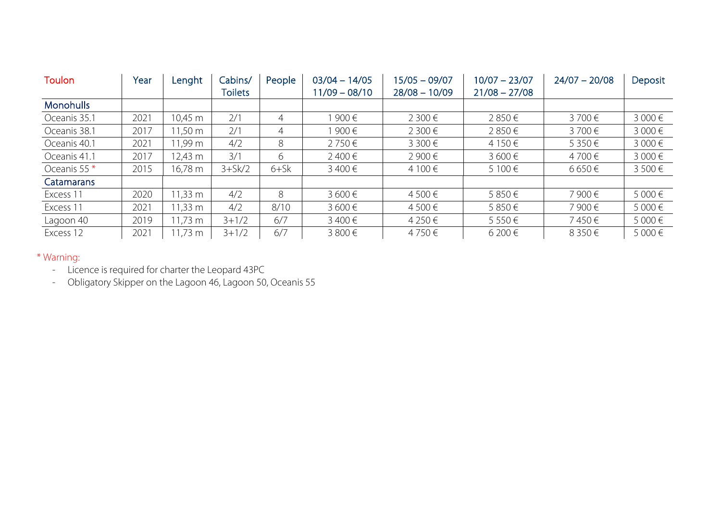| <b>Toulon</b>    | Year | Lenght             | Cabins/        | People | $03/04 - 14/05$ | $15/05 - 09/07$ | $10/07 - 23/07$ | $24/07 - 20/08$ | Deposit    |
|------------------|------|--------------------|----------------|--------|-----------------|-----------------|-----------------|-----------------|------------|
|                  |      |                    | <b>Toilets</b> |        | $11/09 - 08/10$ | $28/08 - 10/09$ | $21/08 - 27/08$ |                 |            |
| <b>Monohulls</b> |      |                    |                |        |                 |                 |                 |                 |            |
| Oceanis 35.1     | 2021 | 10,45 m            | 2/1            | 4      | 900€            | 2 300 €         | 2850€           | 3700€           | 3000€      |
| Oceanis 38.1     | 2017 | 11,50 m            | 2/1            | 4      | 900€            | 2 300 €         | 2850€           | 3700€           | 3 000€     |
| Oceanis 40.1     | 2021 | 11,99 m            | 4/2            | 8      | 2750€           | 3 300€          | 4 150 €         | 5 350€          | 3 000€     |
| Oceanis 41.1     | 2017 | 12,43 m            | 3/1            | 6      | 2400€           | 2 900 €         | 3600€           | 4700€           | 3000€      |
| Oceanis 55 $*$   | 2015 | 16,78 m            | $3+5k/2$       | $6+5k$ | 3 400 €         | 4 100 €         | 5 100 €         | 6 650€          | $3500 \in$ |
| Catamarans       |      |                    |                |        |                 |                 |                 |                 |            |
| Excess 11        | 2020 | $1,33 \, \text{m}$ | 4/2            | 8      | 3 600€          | 4 500 €         | 5850€           | 7 900€          | 5 000 €    |
| Excess 11        | 2021 | $1,33 \, \text{m}$ | 4/2            | 8/10   | 3 600€          | 4 500 €         | 5850€           | 7 900€          | 5 000 €    |
| Lagoon 40        | 2019 | $1,73 \, \text{m}$ | $3 + 1/2$      | 6/7    | 3400€           | 4 250 €         | 5550€           | 7450€           | 5 000 €    |
| Excess 12        | 2021 | $1,73 \text{ m}$   | $3 + 1/2$      | 6/7    | 3 800€          | 4750€           | 6 200 €         | 8 350€          | 5 000 €    |

#### \* Warning:

- Licence is required for charter the Leopard 43PC

- Obligatory Skipper on the Lagoon 46, Lagoon 50, Oceanis 55